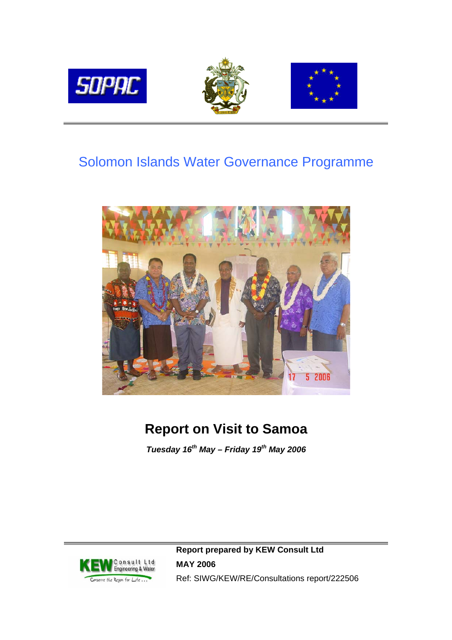

# Solomon Islands Water Governance Programme



# **Report on Visit to Samoa**

*Tuesday 16th May – Friday 19th May 2006*



**Report prepared by KEW Consult Ltd MAY 2006**  Ref: SIWG/KEW/RE/Consultations report/222506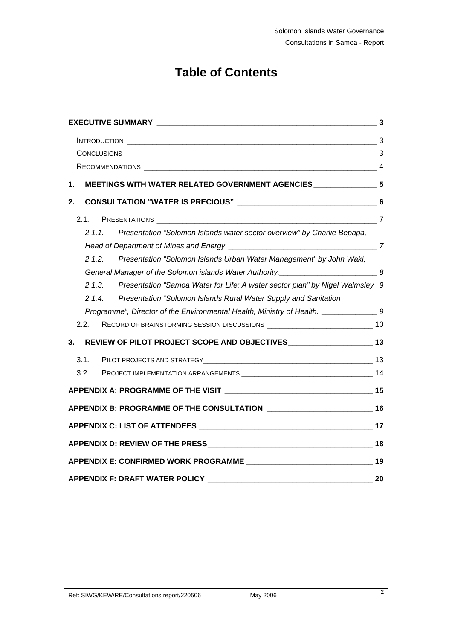# **Table of Contents**

| 1. | MEETINGS WITH WATER RELATED GOVERNMENT AGENCIES _________________ 5                       |  |  |  |
|----|-------------------------------------------------------------------------------------------|--|--|--|
| 2. |                                                                                           |  |  |  |
|    | 2.1.                                                                                      |  |  |  |
|    | Presentation "Solomon Islands water sector overview" by Charlie Bepapa,<br>2.1.1          |  |  |  |
|    |                                                                                           |  |  |  |
|    | 2.1.2.<br>Presentation "Solomon Islands Urban Water Management" by John Waki,             |  |  |  |
|    | General Manager of the Solomon islands Water Authority. ____________________________8     |  |  |  |
|    | Presentation "Samoa Water for Life: A water sector plan" by Nigel Walmsley 9<br>2.1.3.    |  |  |  |
|    | Presentation "Solomon Islands Rural Water Supply and Sanitation<br>2.1.4.                 |  |  |  |
|    | Programme", Director of the Environmental Health, Ministry of Health. _________________9  |  |  |  |
|    | 2.2.<br>RECORD OF BRAINSTORMING SESSION DISCUSSIONS ___________________________________10 |  |  |  |
| 3. | REVIEW OF PILOT PROJECT SCOPE AND OBJECTIVES ________________________ 13                  |  |  |  |
|    | 3.1.                                                                                      |  |  |  |
|    | 3.2.                                                                                      |  |  |  |
|    |                                                                                           |  |  |  |
|    |                                                                                           |  |  |  |
|    |                                                                                           |  |  |  |
|    |                                                                                           |  |  |  |
|    |                                                                                           |  |  |  |
|    | <b>APPENDIX F: DRAFT WATER POLICY</b><br>20                                               |  |  |  |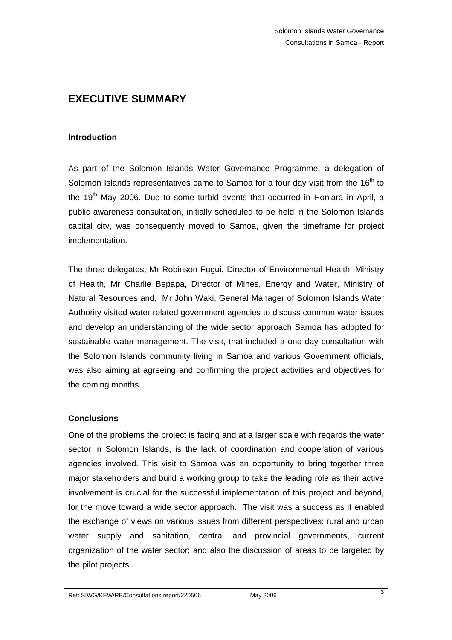# <span id="page-2-0"></span>**EXECUTIVE SUMMARY**

#### **Introduction**

As part of the Solomon Islands Water Governance Programme, a delegation of Solomon Islands representatives came to Samoa for a four day visit from the  $16<sup>th</sup>$  to the  $19<sup>th</sup>$  May 2006. Due to some turbid events that occurred in Honiara in April, a public awareness consultation, initially scheduled to be held in the Solomon Islands capital city, was consequently moved to Samoa, given the timeframe for project implementation.

The three delegates, Mr Robinson Fugui, Director of Environmental Health, Ministry of Health, Mr Charlie Bepapa, Director of Mines, Energy and Water, Ministry of Natural Resources and, Mr John Waki, General Manager of Solomon Islands Water Authority visited water related government agencies to discuss common water issues and develop an understanding of the wide sector approach Samoa has adopted for sustainable water management. The visit, that included a one day consultation with the Solomon Islands community living in Samoa and various Government officials, was also aiming at agreeing and confirming the project activities and objectives for the coming months.

### **Conclusions**

One of the problems the project is facing and at a larger scale with regards the water sector in Solomon Islands, is the lack of coordination and cooperation of various agencies involved. This visit to Samoa was an opportunity to bring together three major stakeholders and build a working group to take the leading role as their active involvement is crucial for the successful implementation of this project and beyond, for the move toward a wide sector approach. The visit was a success as it enabled the exchange of views on various issues from different perspectives: rural and urban water supply and sanitation, central and provincial governments, current organization of the water sector; and also the discussion of areas to be targeted by the pilot projects.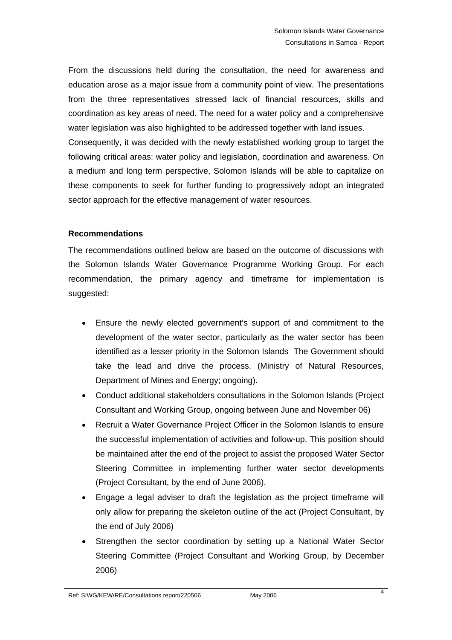<span id="page-3-0"></span>From the discussions held during the consultation, the need for awareness and education arose as a major issue from a community point of view. The presentations from the three representatives stressed lack of financial resources, skills and coordination as key areas of need. The need for a water policy and a comprehensive water legislation was also highlighted to be addressed together with land issues. Consequently, it was decided with the newly established working group to target the following critical areas: water policy and legislation, coordination and awareness. On a medium and long term perspective, Solomon Islands will be able to capitalize on these components to seek for further funding to progressively adopt an integrated sector approach for the effective management of water resources.

### **Recommendations**

The recommendations outlined below are based on the outcome of discussions with the Solomon Islands Water Governance Programme Working Group. For each recommendation, the primary agency and timeframe for implementation is suggested:

- Ensure the newly elected government's support of and commitment to the development of the water sector, particularly as the water sector has been identified as a lesser priority in the Solomon Islands The Government should take the lead and drive the process. (Ministry of Natural Resources, Department of Mines and Energy; ongoing).
- Conduct additional stakeholders consultations in the Solomon Islands (Project Consultant and Working Group, ongoing between June and November 06)
- Recruit a Water Governance Project Officer in the Solomon Islands to ensure the successful implementation of activities and follow-up. This position should be maintained after the end of the project to assist the proposed Water Sector Steering Committee in implementing further water sector developments (Project Consultant, by the end of June 2006).
- Engage a legal adviser to draft the legislation as the project timeframe will only allow for preparing the skeleton outline of the act (Project Consultant, by the end of July 2006)
- Strengthen the sector coordination by setting up a National Water Sector Steering Committee (Project Consultant and Working Group, by December 2006)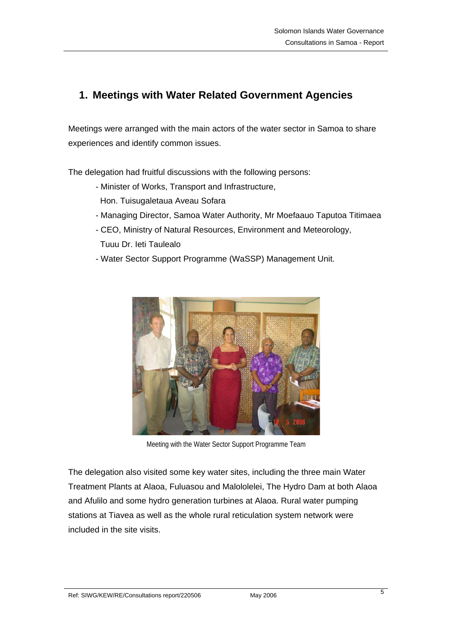# <span id="page-4-0"></span>**1. Meetings with Water Related Government Agencies**

Meetings were arranged with the main actors of the water sector in Samoa to share experiences and identify common issues.

The delegation had fruitful discussions with the following persons:

- Minister of Works, Transport and Infrastructure,
- Hon. Tuisugaletaua Aveau Sofara
- Managing Director, Samoa Water Authority, Mr Moefaauo Taputoa Titimaea
- CEO, Ministry of Natural Resources, Environment and Meteorology, Tuuu Dr. Ieti Taulealo
- Water Sector Support Programme (WaSSP) Management Unit.



Meeting with the Water Sector Support Programme Team

The delegation also visited some key water sites, including the three main Water Treatment Plants at Alaoa, Fuluasou and Malololelei, The Hydro Dam at both Alaoa and Afulilo and some hydro generation turbines at Alaoa. Rural water pumping stations at Tiavea as well as the whole rural reticulation system network were included in the site visits.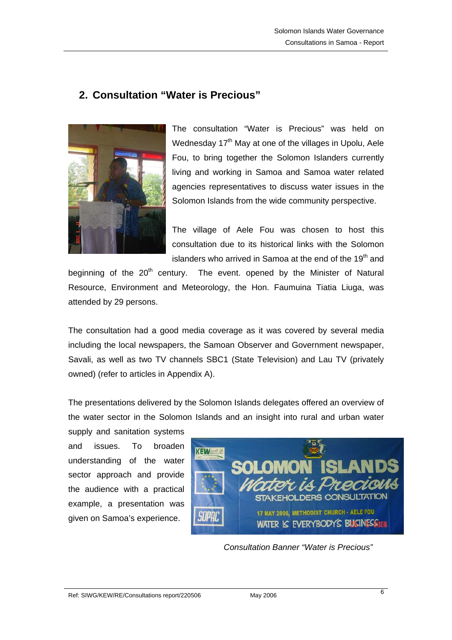# <span id="page-5-0"></span>**2. Consultation "Water is Precious"**



The consultation "Water is Precious" was held on Wednesday 17<sup>th</sup> May at one of the villages in Upolu, Aele Fou, to bring together the Solomon Islanders currently living and working in Samoa and Samoa water related agencies representatives to discuss water issues in the Solomon Islands from the wide community perspective.

The village of Aele Fou was chosen to host this consultation due to its historical links with the Solomon islanders who arrived in Samoa at the end of the 19<sup>th</sup> and

beginning of the 20<sup>th</sup> century. The event. opened by the Minister of Natural Resource, Environment and Meteorology, the Hon. Faumuina Tiatia Liuga, was attended by 29 persons.

The consultation had a good media coverage as it was covered by several media including the local newspapers, the Samoan Observer and Government newspaper, Savali, as well as two TV channels SBC1 (State Television) and Lau TV (privately owned) (refer to articles in Appendix A).

The presentations delivered by the Solomon Islands delegates offered an overview of the water sector in the Solomon Islands and an insight into rural and urban water

supply and sanitation systems and issues. To broaden understanding of the water sector approach and provide the audience with a practical example, a presentation was given on Samoa's experience.



 *Consultation Banner "Water is Precious"*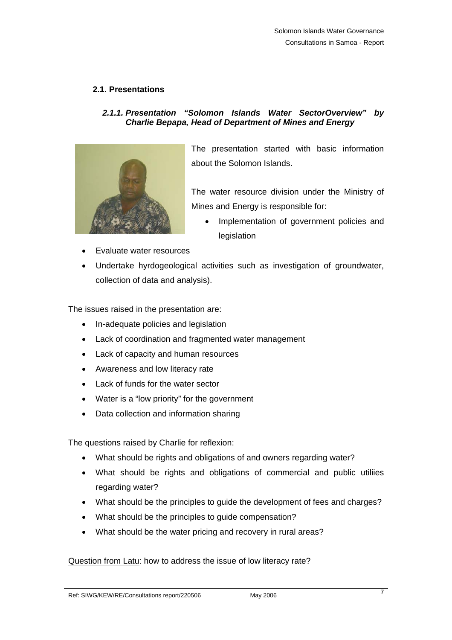## <span id="page-6-0"></span>**2.1. Presentations**

## *2.1.1. Presentation "Solomon Islands Water SectorOverview" by Charlie Bepapa, Head of Department of Mines and Energy*



The presentation started with basic information about the Solomon Islands.

The water resource division under the Ministry of Mines and Energy is responsible for:

- Implementation of government policies and legislation
- Evaluate water resources
- Undertake hyrdogeological activities such as investigation of groundwater, collection of data and analysis).

The issues raised in the presentation are:

- In-adequate policies and legislation
- Lack of coordination and fragmented water management
- Lack of capacity and human resources
- Awareness and low literacy rate
- Lack of funds for the water sector
- Water is a "low priority" for the government
- Data collection and information sharing

The questions raised by Charlie for reflexion:

- What should be rights and obligations of and owners regarding water?
- What should be rights and obligations of commercial and public utiliies regarding water?
- What should be the principles to guide the development of fees and charges?
- What should be the principles to guide compensation?
- What should be the water pricing and recovery in rural areas?

Question from Latu: how to address the issue of low literacy rate?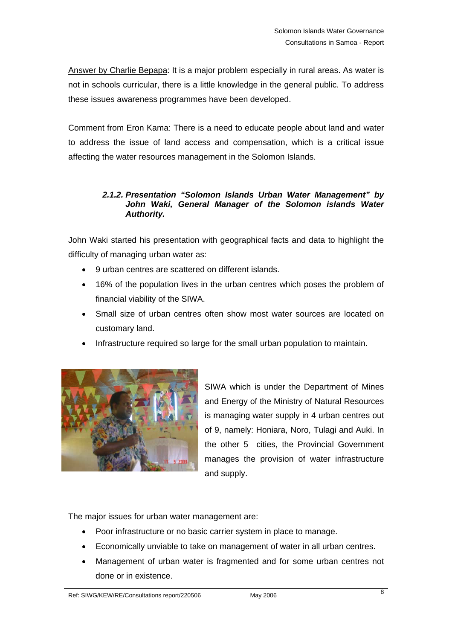<span id="page-7-0"></span>Answer by Charlie Bepapa: It is a major problem especially in rural areas. As water is not in schools curricular, there is a little knowledge in the general public. To address these issues awareness programmes have been developed.

Comment from Eron Kama: There is a need to educate people about land and water to address the issue of land access and compensation, which is a critical issue affecting the water resources management in the Solomon Islands.

## *2.1.2. Presentation "Solomon Islands Urban Water Management" by*  John Waki, General Manager of the Solomon islands Water *Authority.*

John Waki started his presentation with geographical facts and data to highlight the difficulty of managing urban water as:

- 9 urban centres are scattered on different islands.
- 16% of the population lives in the urban centres which poses the problem of financial viability of the SIWA.
- Small size of urban centres often show most water sources are located on customary land.
- Infrastructure required so large for the small urban population to maintain.



SIWA which is under the Department of Mines and Energy of the Ministry of Natural Resources is managing water supply in 4 urban centres out of 9, namely: Honiara, Noro, Tulagi and Auki. In the other 5 cities, the Provincial Government manages the provision of water infrastructure and supply.

The major issues for urban water management are:

- Poor infrastructure or no basic carrier system in place to manage.
- Economically unviable to take on management of water in all urban centres.
- Management of urban water is fragmented and for some urban centres not done or in existence.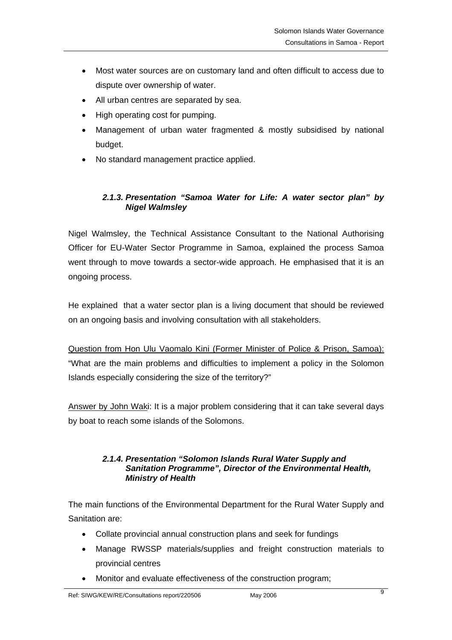- <span id="page-8-0"></span>• Most water sources are on customary land and often difficult to access due to dispute over ownership of water.
- All urban centres are separated by sea.
- High operating cost for pumping.
- Management of urban water fragmented & mostly subsidised by national budget.
- No standard management practice applied.

## *2.1.3. Presentation "Samoa Water for Life: A water sector plan" by Nigel Walmsley*

Nigel Walmsley, the Technical Assistance Consultant to the National Authorising Officer for EU-Water Sector Programme in Samoa, explained the process Samoa went through to move towards a sector-wide approach. He emphasised that it is an ongoing process.

He explained that a water sector plan is a living document that should be reviewed on an ongoing basis and involving consultation with all stakeholders.

Question from Hon Ulu Vaomalo Kini (Former Minister of Police & Prison, Samoa): "What are the main problems and difficulties to implement a policy in the Solomon Islands especially considering the size of the territory?"

Answer by John Waki: It is a major problem considering that it can take several days by boat to reach some islands of the Solomons.

### *2.1.4. Presentation "Solomon Islands Rural Water Supply and Sanitation Programme", Director of the Environmental Health, Ministry of Health*

The main functions of the Environmental Department for the Rural Water Supply and Sanitation are:

- Collate provincial annual construction plans and seek for fundings
- Manage RWSSP materials/supplies and freight construction materials to provincial centres
- Monitor and evaluate effectiveness of the construction program;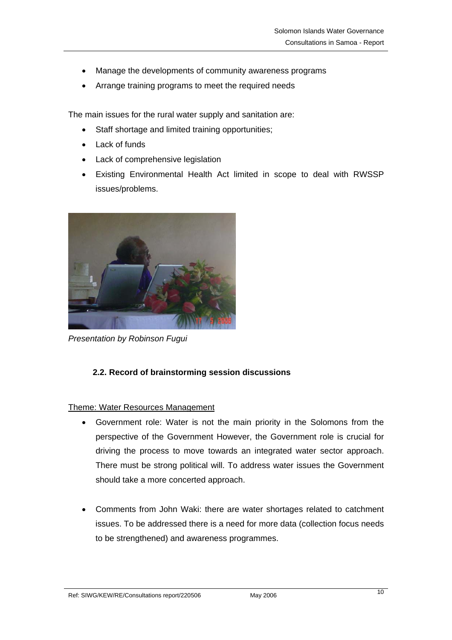- <span id="page-9-0"></span>• Manage the developments of community awareness programs
- Arrange training programs to meet the required needs

The main issues for the rural water supply and sanitation are:

- Staff shortage and limited training opportunities;
- Lack of funds
- Lack of comprehensive legislation
- Existing Environmental Health Act limited in scope to deal with RWSSP issues/problems.



*Presentation by Robinson Fugui* 

# **2.2. Record of brainstorming session discussions**

## Theme: Water Resources Management

- Government role: Water is not the main priority in the Solomons from the perspective of the Government However, the Government role is crucial for driving the process to move towards an integrated water sector approach. There must be strong political will. To address water issues the Government should take a more concerted approach.
- Comments from John Waki: there are water shortages related to catchment issues. To be addressed there is a need for more data (collection focus needs to be strengthened) and awareness programmes.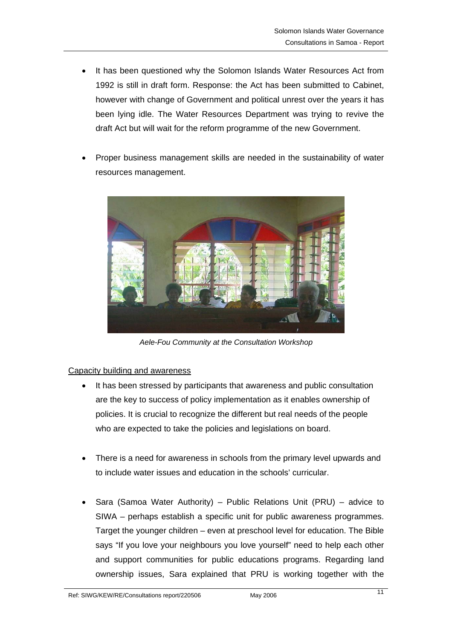- It has been questioned why the Solomon Islands Water Resources Act from 1992 is still in draft form. Response: the Act has been submitted to Cabinet, however with change of Government and political unrest over the years it has been lying idle. The Water Resources Department was trying to revive the draft Act but will wait for the reform programme of the new Government.
- Proper business management skills are needed in the sustainability of water resources management.



*Aele-Fou Community at the Consultation Workshop* 

### Capacity building and awareness

- It has been stressed by participants that awareness and public consultation are the key to success of policy implementation as it enables ownership of policies. It is crucial to recognize the different but real needs of the people who are expected to take the policies and legislations on board.
- There is a need for awareness in schools from the primary level upwards and to include water issues and education in the schools' curricular.
- Sara (Samoa Water Authority) Public Relations Unit (PRU) advice to SIWA – perhaps establish a specific unit for public awareness programmes. Target the younger children – even at preschool level for education. The Bible says "If you love your neighbours you love yourself" need to help each other and support communities for public educations programs. Regarding land ownership issues, Sara explained that PRU is working together with the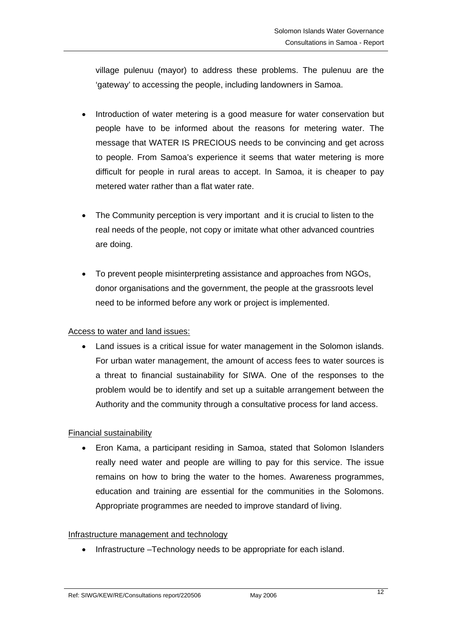village pulenuu (mayor) to address these problems. The pulenuu are the 'gateway' to accessing the people, including landowners in Samoa.

- Introduction of water metering is a good measure for water conservation but people have to be informed about the reasons for metering water. The message that WATER IS PRECIOUS needs to be convincing and get across to people. From Samoa's experience it seems that water metering is more difficult for people in rural areas to accept. In Samoa, it is cheaper to pay metered water rather than a flat water rate.
- The Community perception is very important and it is crucial to listen to the real needs of the people, not copy or imitate what other advanced countries are doing.
- To prevent people misinterpreting assistance and approaches from NGOs, donor organisations and the government, the people at the grassroots level need to be informed before any work or project is implemented.

## Access to water and land issues:

• Land issues is a critical issue for water management in the Solomon islands. For urban water management, the amount of access fees to water sources is a threat to financial sustainability for SIWA. One of the responses to the problem would be to identify and set up a suitable arrangement between the Authority and the community through a consultative process for land access.

## Financial sustainability

• Eron Kama, a participant residing in Samoa, stated that Solomon Islanders really need water and people are willing to pay for this service. The issue remains on how to bring the water to the homes. Awareness programmes, education and training are essential for the communities in the Solomons. Appropriate programmes are needed to improve standard of living.

### Infrastructure management and technology

• Infrastructure –Technology needs to be appropriate for each island.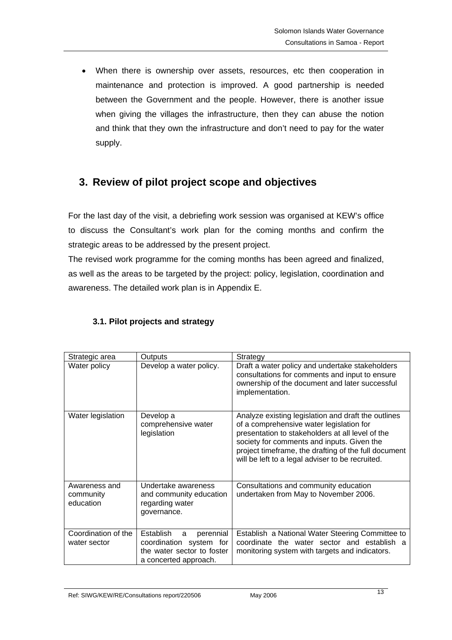<span id="page-12-0"></span>• When there is ownership over assets, resources, etc then cooperation in maintenance and protection is improved. A good partnership is needed between the Government and the people. However, there is another issue when giving the villages the infrastructure, then they can abuse the notion and think that they own the infrastructure and don't need to pay for the water supply.

# **3. Review of pilot project scope and objectives**

For the last day of the visit, a debriefing work session was organised at KEW's office to discuss the Consultant's work plan for the coming months and confirm the strategic areas to be addressed by the present project.

The revised work programme for the coming months has been agreed and finalized, as well as the areas to be targeted by the project: policy, legislation, coordination and awareness. The detailed work plan is in Appendix E.

| Strategic area                          | <b>Outputs</b>                                                                                                | Strategy                                                                                                                                                                                                                                                                                                      |
|-----------------------------------------|---------------------------------------------------------------------------------------------------------------|---------------------------------------------------------------------------------------------------------------------------------------------------------------------------------------------------------------------------------------------------------------------------------------------------------------|
| Water policy                            | Develop a water policy.                                                                                       | Draft a water policy and undertake stakeholders<br>consultations for comments and input to ensure<br>ownership of the document and later successful<br>implementation.                                                                                                                                        |
| Water legislation                       | Develop a<br>comprehensive water<br>legislation                                                               | Analyze existing legislation and draft the outlines<br>of a comprehensive water legislation for<br>presentation to stakeholders at all level of the<br>society for comments and inputs. Given the<br>project timeframe, the drafting of the full document<br>will be left to a legal adviser to be recruited. |
| Awareness and<br>community<br>education | Undertake awareness<br>and community education<br>regarding water<br>governance.                              | Consultations and community education<br>undertaken from May to November 2006.                                                                                                                                                                                                                                |
| Coordination of the<br>water sector     | Establish<br>perennial<br>a<br>coordination system for<br>the water sector to foster<br>a concerted approach. | Establish a National Water Steering Committee to<br>coordinate the water sector and establish a<br>monitoring system with targets and indicators.                                                                                                                                                             |

# **3.1. Pilot projects and strategy**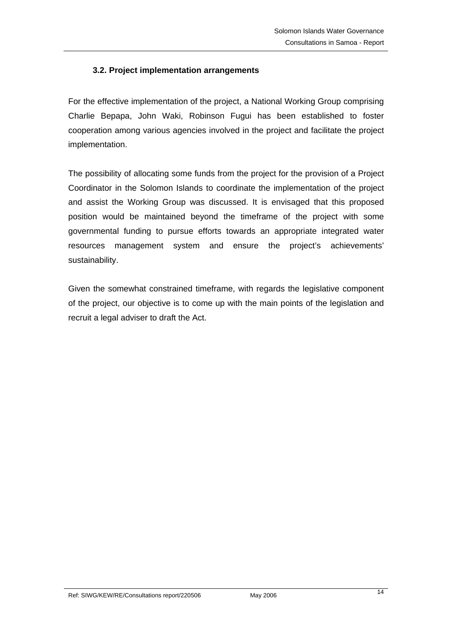## <span id="page-13-0"></span>**3.2. Project implementation arrangements**

For the effective implementation of the project, a National Working Group comprising Charlie Bepapa, John Waki, Robinson Fugui has been established to foster cooperation among various agencies involved in the project and facilitate the project implementation.

The possibility of allocating some funds from the project for the provision of a Project Coordinator in the Solomon Islands to coordinate the implementation of the project and assist the Working Group was discussed. It is envisaged that this proposed position would be maintained beyond the timeframe of the project with some governmental funding to pursue efforts towards an appropriate integrated water resources management system and ensure the project's achievements' sustainability.

Given the somewhat constrained timeframe, with regards the legislative component of the project, our objective is to come up with the main points of the legislation and recruit a legal adviser to draft the Act.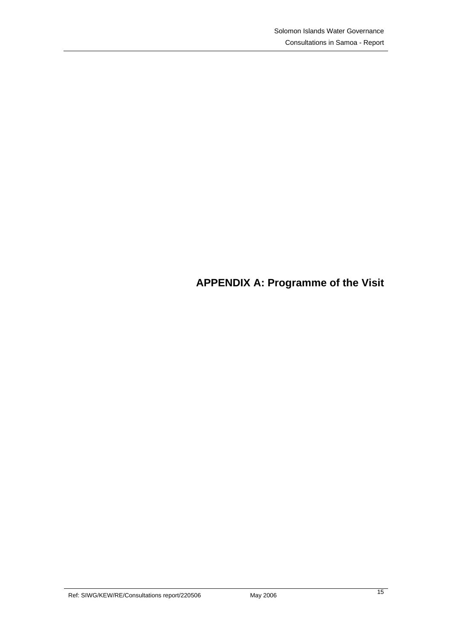# <span id="page-14-0"></span>**APPENDIX A: Programme of the Visit**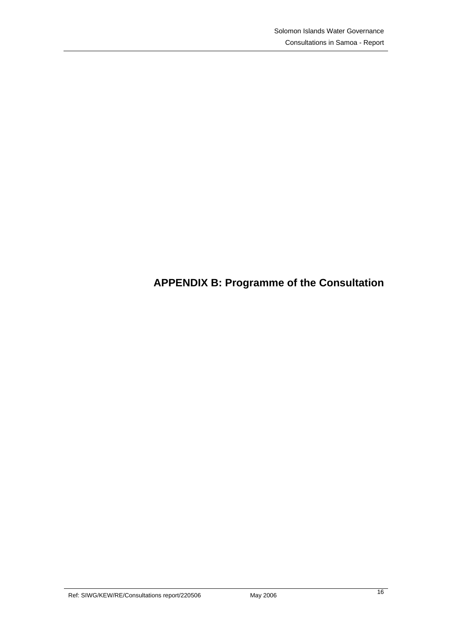# <span id="page-15-0"></span>**APPENDIX B: Programme of the Consultation**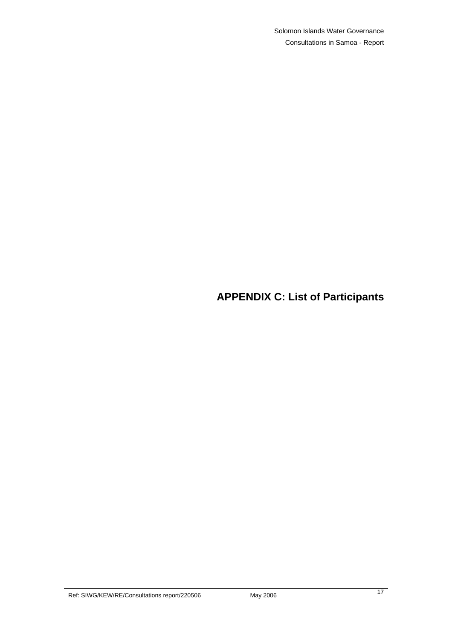<span id="page-16-0"></span>**APPENDIX C: List of Participants**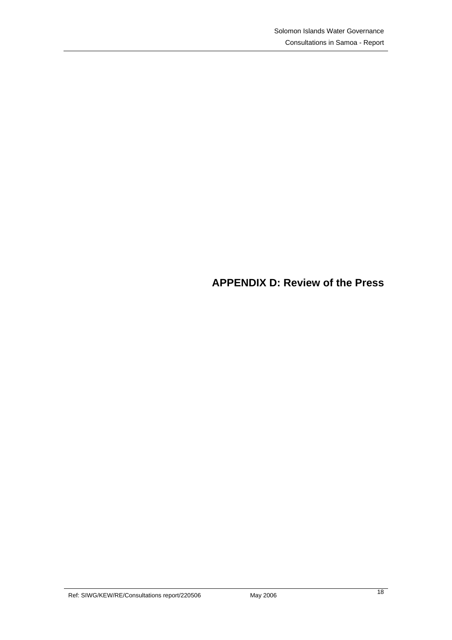# <span id="page-17-0"></span>**APPENDIX D: Review of the Press**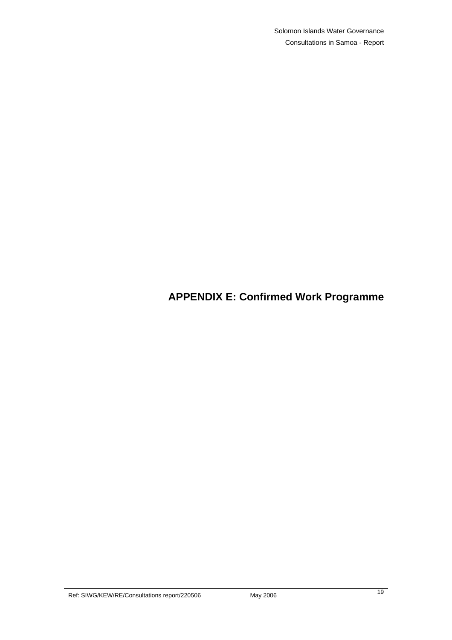# <span id="page-18-0"></span>**APPENDIX E: Confirmed Work Programme**